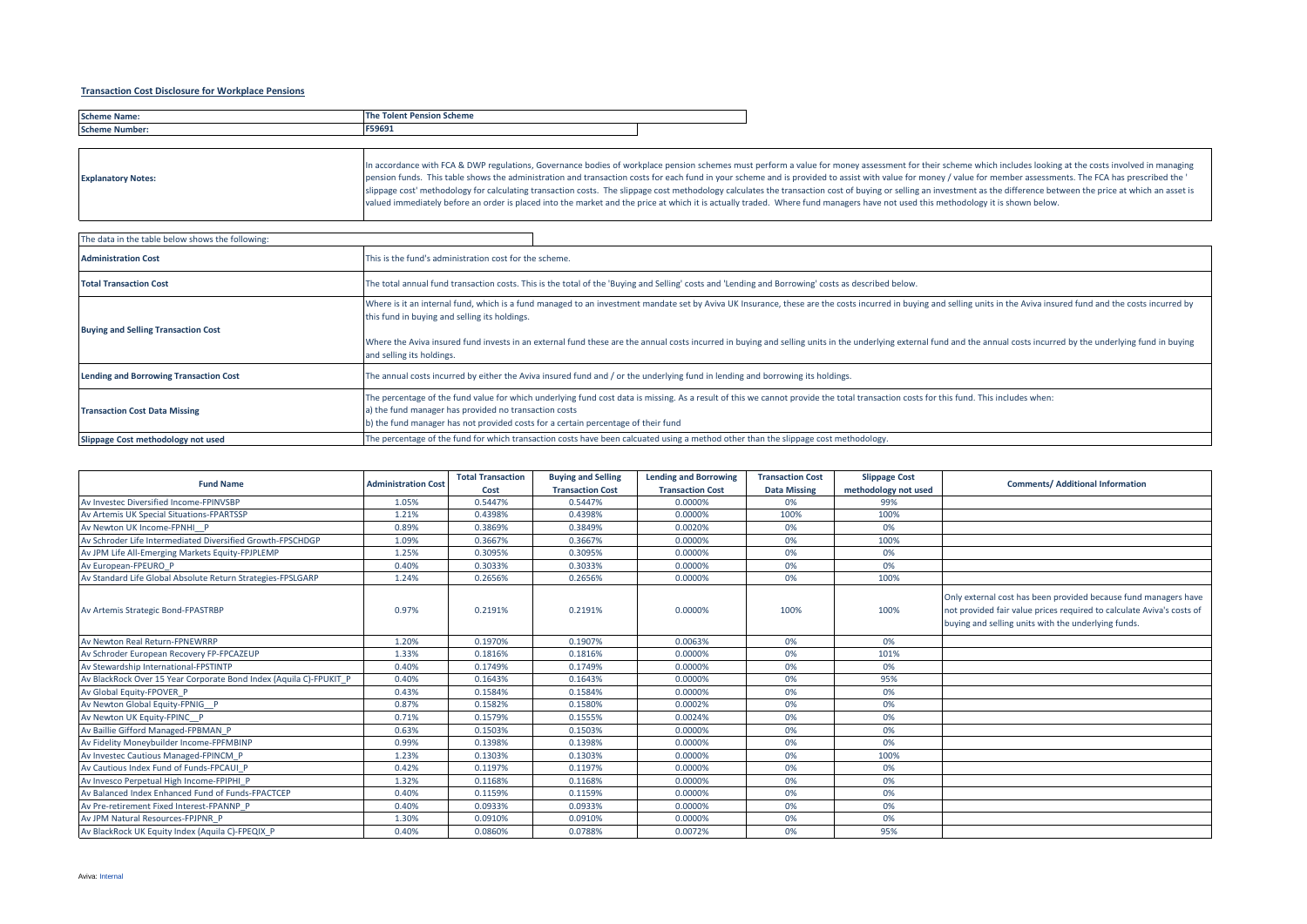## **Transaction Cost Disclosure for Workplace Pensions**

| Sche<br>$-0.01115$ | ----<br>scheme<br>.<br>___ |  |
|--------------------|----------------------------|--|
| Scher              | cocos.<br>כסל.             |  |

| <b>Explanatory Notes:</b> | In accordance with FCA & DWP regulations, Governance bodies of workplace pension schemes must perform a value for money assessment for their scheme which includes looking at the costs involved in managing<br>pension funds. This table shows the administration and transaction costs for each fund in your scheme and is provided to assist with value for money / value for member assessments. The FCA has prescribed the '<br>slippage cost' methodology for calculating transaction costs. The slippage cost methodology calculates the transaction cost of buying or selling an investment as the difference between the price at which an asset is |
|---------------------------|--------------------------------------------------------------------------------------------------------------------------------------------------------------------------------------------------------------------------------------------------------------------------------------------------------------------------------------------------------------------------------------------------------------------------------------------------------------------------------------------------------------------------------------------------------------------------------------------------------------------------------------------------------------|
|                           | valued immediately before an order is placed into the market and the price at which it is actually traded. Where fund managers have not used this methodology it is shown below.                                                                                                                                                                                                                                                                                                                                                                                                                                                                             |

| The data in the table below shows the following: |                                                                                                                                                                                                                                                                                                                                                                                                                                                                                                                                 |  |  |  |  |  |  |
|--------------------------------------------------|---------------------------------------------------------------------------------------------------------------------------------------------------------------------------------------------------------------------------------------------------------------------------------------------------------------------------------------------------------------------------------------------------------------------------------------------------------------------------------------------------------------------------------|--|--|--|--|--|--|
| <b>Administration Cost</b>                       | This is the fund's administration cost for the scheme.                                                                                                                                                                                                                                                                                                                                                                                                                                                                          |  |  |  |  |  |  |
| <b>Total Transaction Cost</b>                    | The total annual fund transaction costs. This is the total of the 'Buying and Selling' costs and 'Lending and Borrowing' costs as described below.                                                                                                                                                                                                                                                                                                                                                                              |  |  |  |  |  |  |
| <b>Buying and Selling Transaction Cost</b>       | Where is it an internal fund, which is a fund managed to an investment mandate set by Aviva UK Insurance, these are the costs incurred in buying and selling units in the Aviva insured fund and the costs incurred by<br>this fund in buying and selling its holdings.<br>Where the Aviva insured fund invests in an external fund these are the annual costs incurred in buying and selling units in the underlying external fund and the annual costs incurred by the underlying fund in buying<br>and selling its holdings. |  |  |  |  |  |  |
| <b>Lending and Borrowing Transaction Cost</b>    | The annual costs incurred by either the Aviva insured fund and / or the underlying fund in lending and borrowing its holdings.                                                                                                                                                                                                                                                                                                                                                                                                  |  |  |  |  |  |  |
| <b>Transaction Cost Data Missing</b>             | The percentage of the fund value for which underlying fund cost data is missing. As a result of this we cannot provide the total transaction costs for this fund. This includes when:<br>a) the fund manager has provided no transaction costs<br>b) the fund manager has not provided costs for a certain percentage of their fund                                                                                                                                                                                             |  |  |  |  |  |  |
| Slippage Cost methodology not used               | The percentage of the fund for which transaction costs have been calcuated using a method other than the slippage cost methodology.                                                                                                                                                                                                                                                                                                                                                                                             |  |  |  |  |  |  |

| <b>Fund Name</b>                                                   | <b>Administration Cost</b> | <b>Total Transaction</b><br>Cost | <b>Buying and Selling</b><br><b>Transaction Cost</b> | <b>Lending and Borrowing</b><br><b>Transaction Cost</b> | <b>Transaction Cost</b><br><b>Data Missing</b> | <b>Slippage Cost</b><br>methodology not used | <b>Comments/ Additional Information</b>                                                                                                                                                         |
|--------------------------------------------------------------------|----------------------------|----------------------------------|------------------------------------------------------|---------------------------------------------------------|------------------------------------------------|----------------------------------------------|-------------------------------------------------------------------------------------------------------------------------------------------------------------------------------------------------|
| Av Investec Diversified Income-FPINVSBP                            | 1.05%                      | 0.5447%                          | 0.5447%                                              | 0.0000%                                                 | 0%                                             | 99%                                          |                                                                                                                                                                                                 |
| Av Artemis UK Special Situations-FPARTSSP                          | 1.21%                      | 0.4398%                          | 0.4398%                                              | 0.0000%                                                 | 100%                                           | 100%                                         |                                                                                                                                                                                                 |
| Av Newton UK Income-FPNHI P                                        | 0.89%                      | 0.3869%                          | 0.3849%                                              | 0.0020%                                                 | 0%                                             | 0%                                           |                                                                                                                                                                                                 |
| Av Schroder Life Intermediated Diversified Growth-FPSCHDGP         | 1.09%                      | 0.3667%                          | 0.3667%                                              | 0.0000%                                                 | 0%                                             | 100%                                         |                                                                                                                                                                                                 |
| Av JPM Life All-Emerging Markets Equity-FPJPLEMP                   | 1.25%                      | 0.3095%                          | 0.3095%                                              | 0.0000%                                                 | 0%                                             | 0%                                           |                                                                                                                                                                                                 |
| Av European-FPEURO P                                               | 0.40%                      | 0.3033%                          | 0.3033%                                              | 0.0000%                                                 | 0%                                             | 0%                                           |                                                                                                                                                                                                 |
| Av Standard Life Global Absolute Return Strategies-FPSLGARP        | 1.24%                      | 0.2656%                          | 0.2656%                                              | 0.0000%                                                 | 0%                                             | 100%                                         |                                                                                                                                                                                                 |
| Av Artemis Strategic Bond-FPASTRBP                                 | 0.97%                      | 0.2191%                          | 0.2191%                                              | 0.0000%                                                 | 100%                                           | 100%                                         | Only external cost has been provided because fund managers have<br>not provided fair value prices required to calculate Aviva's costs of<br>buying and selling units with the underlying funds. |
| Av Newton Real Return-FPNEWRRP                                     | 1.20%                      | 0.1970%                          | 0.1907%                                              | 0.0063%                                                 | 0%                                             | 0%                                           |                                                                                                                                                                                                 |
| Av Schroder European Recovery FP-FPCAZEUP                          | 1.33%                      | 0.1816%                          | 0.1816%                                              | 0.0000%                                                 | 0%                                             | 101%                                         |                                                                                                                                                                                                 |
| Av Stewardship International-FPSTINTP                              | 0.40%                      | 0.1749%                          | 0.1749%                                              | 0.0000%                                                 | 0%                                             | 0%                                           |                                                                                                                                                                                                 |
| Av BlackRock Over 15 Year Corporate Bond Index (Aquila C)-FPUKIT P | 0.40%                      | 0.1643%                          | 0.1643%                                              | 0.0000%                                                 | 0%                                             | 95%                                          |                                                                                                                                                                                                 |
| Av Global Equity-FPOVER P                                          | 0.43%                      | 0.1584%                          | 0.1584%                                              | 0.0000%                                                 | 0%                                             | 0%                                           |                                                                                                                                                                                                 |
| Av Newton Global Equity-FPNIG P                                    | 0.87%                      | 0.1582%                          | 0.1580%                                              | 0.0002%                                                 | 0%                                             | 0%                                           |                                                                                                                                                                                                 |
| Av Newton UK Equity-FPINC P                                        | 0.71%                      | 0.1579%                          | 0.1555%                                              | 0.0024%                                                 | 0%                                             | 0%                                           |                                                                                                                                                                                                 |
| Av Baillie Gifford Managed-FPBMAN P                                | 0.63%                      | 0.1503%                          | 0.1503%                                              | 0.0000%                                                 | 0%                                             | 0%                                           |                                                                                                                                                                                                 |
| Av Fidelity Moneybuilder Income-FPFMBINP                           | 0.99%                      | 0.1398%                          | 0.1398%                                              | 0.0000%                                                 | 0%                                             | 0%                                           |                                                                                                                                                                                                 |
| Av Investec Cautious Managed-FPINCM P                              | 1.23%                      | 0.1303%                          | 0.1303%                                              | 0.0000%                                                 | 0%                                             | 100%                                         |                                                                                                                                                                                                 |
| Av Cautious Index Fund of Funds-FPCAUI P                           | 0.42%                      | 0.1197%                          | 0.1197%                                              | 0.0000%                                                 | 0%                                             | 0%                                           |                                                                                                                                                                                                 |
| Av Invesco Perpetual High Income-FPIPHI P                          | 1.32%                      | 0.1168%                          | 0.1168%                                              | 0.0000%                                                 | 0%                                             | 0%                                           |                                                                                                                                                                                                 |
| Av Balanced Index Enhanced Fund of Funds-FPACTCEP                  | 0.40%                      | 0.1159%                          | 0.1159%                                              | 0.0000%                                                 | 0%                                             | 0%                                           |                                                                                                                                                                                                 |
| Av Pre-retirement Fixed Interest-FPANNP P                          | 0.40%                      | 0.0933%                          | 0.0933%                                              | 0.0000%                                                 | 0%                                             | 0%                                           |                                                                                                                                                                                                 |
| Av JPM Natural Resources-FPJPNR P                                  | 1.30%                      | 0.0910%                          | 0.0910%                                              | 0.0000%                                                 | 0%                                             | 0%                                           |                                                                                                                                                                                                 |
| Av BlackRock UK Equity Index (Aquila C)-FPEQIX P                   | 0.40%                      | 0.0860%                          | 0.0788%                                              | 0.0072%                                                 | 0%                                             | 95%                                          |                                                                                                                                                                                                 |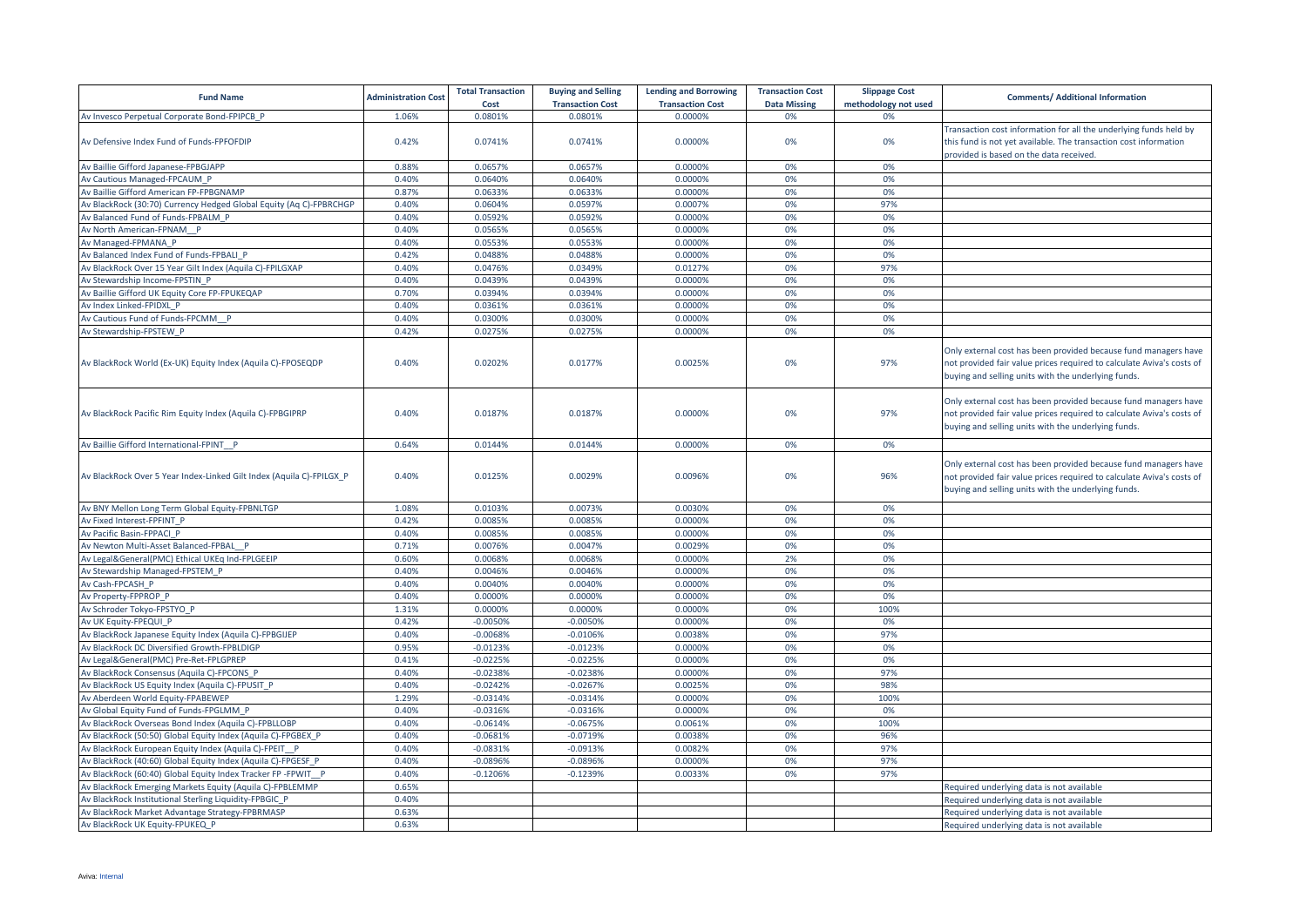| <b>Fund Name</b>                                                     | <b>Administration Cost</b> | <b>Total Transaction</b><br>Cost | <b>Buying and Selling</b><br><b>Transaction Cost</b> | <b>Lending and Borrowing</b><br><b>Transaction Cost</b> | <b>Transaction Cost</b><br><b>Data Missing</b> | <b>Slippage Cost</b><br>methodology not used | <b>Comments/ Additional Information</b>                                                                                                                                                         |
|----------------------------------------------------------------------|----------------------------|----------------------------------|------------------------------------------------------|---------------------------------------------------------|------------------------------------------------|----------------------------------------------|-------------------------------------------------------------------------------------------------------------------------------------------------------------------------------------------------|
| Av Invesco Perpetual Corporate Bond-FPIPCB P                         | 1.06%                      | 0.0801%                          | 0.0801%                                              | 0.0000%                                                 | 0%                                             | 0%                                           |                                                                                                                                                                                                 |
| Av Defensive Index Fund of Funds-FPFOFDIP                            | 0.42%                      | 0.0741%                          | 0.0741%                                              | 0.0000%                                                 | 0%                                             | 0%                                           | Transaction cost information for all the underlying funds held by<br>this fund is not yet available. The transaction cost information<br>provided is based on the data received.                |
| Av Baillie Gifford Japanese-FPBGJAPP                                 | 0.88%                      | 0.0657%                          | 0.0657%                                              | 0.0000%                                                 | 0%                                             | 0%                                           |                                                                                                                                                                                                 |
| Av Cautious Managed-FPCAUM P                                         | 0.40%                      | 0.0640%                          | 0.0640%                                              | 0.0000%                                                 | 0%                                             | 0%                                           |                                                                                                                                                                                                 |
| Av Baillie Gifford American FP-FPBGNAMP                              | 0.87%                      | 0.0633%                          | 0.0633%                                              | 0.0000%                                                 | 0%                                             | 0%                                           |                                                                                                                                                                                                 |
| Av BlackRock (30:70) Currency Hedged Global Equity (Aq C)-FPBRCHGP   | 0.40%                      | 0.0604%                          | 0.0597%                                              | 0.0007%                                                 | 0%                                             | 97%                                          |                                                                                                                                                                                                 |
| Av Balanced Fund of Funds-FPBALM P                                   | 0.40%                      | 0.0592%                          | 0.0592%                                              | 0.0000%                                                 | 0%                                             | 0%                                           |                                                                                                                                                                                                 |
| Av North American-FPNAM P                                            | 0.40%                      | 0.0565%                          | 0.0565%                                              | 0.0000%                                                 | 0%                                             | 0%                                           |                                                                                                                                                                                                 |
| Av Managed-FPMANA P                                                  | 0.40%                      | 0.0553%                          | 0.0553%                                              | 0.0000%                                                 | 0%                                             | 0%                                           |                                                                                                                                                                                                 |
| Av Balanced Index Fund of Funds-FPBALI P                             | 0.42%                      | 0.0488%                          | 0.0488%                                              | 0.0000%                                                 | 0%                                             | 0%                                           |                                                                                                                                                                                                 |
| Av BlackRock Over 15 Year Gilt Index (Aquila C)-FPILGXAP             | 0.40%                      | 0.0476%                          | 0.0349%                                              | 0.0127%                                                 | 0%                                             | 97%                                          |                                                                                                                                                                                                 |
| Av Stewardship Income-FPSTIN P                                       | 0.40%                      | 0.0439%                          | 0.0439%                                              | 0.0000%                                                 | 0%                                             | 0%                                           |                                                                                                                                                                                                 |
| Av Baillie Gifford UK Equity Core FP-FPUKEQAP                        | 0.70%                      | 0.0394%                          | 0.0394%                                              | 0.0000%                                                 | 0%                                             | 0%                                           |                                                                                                                                                                                                 |
| Av Index Linked-FPIDXL P                                             | 0.40%                      | 0.0361%                          | 0.0361%                                              | 0.0000%                                                 | 0%                                             | 0%                                           |                                                                                                                                                                                                 |
| Av Cautious Fund of Funds-FPCMM P                                    | 0.40%                      | 0.0300%                          | 0.0300%                                              | 0.0000%                                                 | 0%                                             | 0%                                           |                                                                                                                                                                                                 |
| Av Stewardship-FPSTEW P                                              | 0.42%                      | 0.0275%                          | 0.0275%                                              | 0.0000%                                                 | 0%                                             | 0%                                           |                                                                                                                                                                                                 |
| Av BlackRock World (Ex-UK) Equity Index (Aquila C)-FPOSEQDP          | 0.40%                      | 0.0202%                          | 0.0177%                                              | 0.0025%                                                 | 0%                                             | 97%                                          | Only external cost has been provided because fund managers have<br>not provided fair value prices required to calculate Aviva's costs of<br>buying and selling units with the underlying funds. |
| Av BlackRock Pacific Rim Equity Index (Aquila C)-FPBGIPRP            | 0.40%                      | 0.0187%                          | 0.0187%                                              | 0.0000%                                                 | 0%                                             | 97%                                          | Only external cost has been provided because fund managers have<br>not provided fair value prices required to calculate Aviva's costs of<br>buying and selling units with the underlying funds. |
| Av Baillie Gifford International-FPINT P                             | 0.64%                      | 0.0144%                          | 0.0144%                                              | 0.0000%                                                 | 0%                                             | 0%                                           |                                                                                                                                                                                                 |
| Av BlackRock Over 5 Year Index-Linked Gilt Index (Aquila C)-FPILGX_P | 0.40%                      | 0.0125%                          | 0.0029%                                              | 0.0096%                                                 | 0%                                             | 96%                                          | Only external cost has been provided because fund managers have<br>not provided fair value prices required to calculate Aviva's costs of<br>buying and selling units with the underlying funds. |
| Av BNY Mellon Long Term Global Equity-FPBNLTGP                       | 1.08%                      | 0.0103%                          | 0.0073%                                              | 0.0030%                                                 | 0%                                             | 0%                                           |                                                                                                                                                                                                 |
| Av Fixed Interest-FPFINT P                                           | 0.42%                      | 0.0085%                          | 0.0085%                                              | 0.0000%                                                 | 0%                                             | 0%                                           |                                                                                                                                                                                                 |
| Av Pacific Basin-FPPACI P                                            | 0.40%                      | 0.0085%                          | 0.0085%                                              | 0.0000%                                                 | 0%                                             | 0%                                           |                                                                                                                                                                                                 |
| Av Newton Multi-Asset Balanced-FPBAL P                               | 0.71%                      | 0.0076%                          | 0.0047%                                              | 0.0029%                                                 | 0%                                             | 0%                                           |                                                                                                                                                                                                 |
| Av Legal&General(PMC) Ethical UKEq Ind-FPLGEEIP                      | 0.60%                      | 0.0068%                          | 0.0068%                                              | 0.0000%                                                 | 2%                                             | 0%                                           |                                                                                                                                                                                                 |
| Av Stewardship Managed-FPSTEM P                                      | 0.40%                      | 0.0046%                          | 0.0046%                                              | 0.0000%                                                 | 0%                                             | 0%                                           |                                                                                                                                                                                                 |
| Av Cash-FPCASH P                                                     | 0.40%                      | 0.0040%                          | 0.0040%                                              | 0.0000%                                                 | 0%                                             | 0%                                           |                                                                                                                                                                                                 |
| Av Property-FPPROP P                                                 | 0.40%                      | 0.0000%                          | 0.0000%                                              | 0.0000%                                                 | 0%                                             | 0%                                           |                                                                                                                                                                                                 |
| Av Schroder Tokyo-FPSTYO_P                                           | 1.31%                      | 0.0000%                          | 0.0000%                                              | 0.0000%                                                 | 0%                                             | 100%                                         |                                                                                                                                                                                                 |
| Av UK Equity-FPEQUI P                                                | 0.42%                      | $-0.0050%$                       | $-0.0050%$                                           | 0.0000%                                                 | 0%                                             | 0%                                           |                                                                                                                                                                                                 |
| Av BlackRock Japanese Equity Index (Aquila C)-FPBGIJEP               | 0.40%                      | $-0.0068%$                       | $-0.0106%$                                           | 0.0038%                                                 | 0%                                             | 97%                                          |                                                                                                                                                                                                 |
| Av BlackRock DC Diversified Growth-FPBLDIGP                          | 0.95%                      | $-0.0123%$                       | $-0.0123%$                                           | 0.0000%                                                 | 0%                                             | 0%                                           |                                                                                                                                                                                                 |
| Av Legal&General(PMC) Pre-Ret-FPLGPREP                               | 0.41%                      | $-0.0225%$                       | $-0.0225%$                                           | 0.0000%                                                 | 0%                                             | 0%                                           |                                                                                                                                                                                                 |
| Av BlackRock Consensus (Aquila C)-FPCONS P                           | 0.40%                      | $-0.0238%$                       | $-0.0238%$                                           | 0.0000%                                                 | 0%                                             | 97%                                          |                                                                                                                                                                                                 |
| Av BlackRock US Equity Index (Aquila C)-FPUSIT P                     | 0.40%                      | $-0.0242%$                       | $-0.0267%$                                           | 0.0025%                                                 | 0%                                             | 98%                                          |                                                                                                                                                                                                 |
| Av Aberdeen World Equity-FPABEWEP                                    | 1.29%                      | $-0.0314%$                       | $-0.0314%$                                           | 0.0000%                                                 | 0%                                             | 100%                                         |                                                                                                                                                                                                 |
| Av Global Equity Fund of Funds-FPGLMM P                              | 0.40%                      | $-0.0316%$                       | $-0.0316%$                                           | 0.0000%                                                 | 0%                                             | 0%                                           |                                                                                                                                                                                                 |
| Av BlackRock Overseas Bond Index (Aquila C)-FPBLLOBP                 | 0.40%                      | $-0.0614%$                       | $-0.0675%$                                           | 0.0061%                                                 | 0%                                             | 100%                                         |                                                                                                                                                                                                 |
| Av BlackRock (50:50) Global Equity Index (Aquila C)-FPGBEX_P         | 0.40%                      | $-0.0681%$                       | $-0.0719%$                                           | 0.0038%                                                 | 0%                                             | 96%                                          |                                                                                                                                                                                                 |
| Av BlackRock European Equity Index (Aquila C)-FPEIT P                | 0.40%                      | $-0.0831%$                       | $-0.0913%$                                           | 0.0082%                                                 | 0%                                             | 97%                                          |                                                                                                                                                                                                 |
| Av BlackRock (40:60) Global Equity Index (Aquila C)-FPGESF P         | 0.40%                      | $-0.0896%$                       | $-0.0896%$                                           | 0.0000%                                                 | 0%                                             | 97%                                          |                                                                                                                                                                                                 |
| Av BlackRock (60:40) Global Equity Index Tracker FP -FPWIT P         | 0.40%                      | $-0.1206%$                       | $-0.1239%$                                           | 0.0033%                                                 | 0%                                             | 97%                                          |                                                                                                                                                                                                 |
| Av BlackRock Emerging Markets Equity (Aquila C)-FPBLEMMP             | 0.65%                      |                                  |                                                      |                                                         |                                                |                                              | Required underlying data is not available                                                                                                                                                       |
| Av BlackRock Institutional Sterling Liquidity-FPBGIC P               | 0.40%                      |                                  |                                                      |                                                         |                                                |                                              | Required underlying data is not available                                                                                                                                                       |
| Av BlackRock Market Advantage Strategy-FPBRMASP                      | 0.63%                      |                                  |                                                      |                                                         |                                                |                                              | Required underlying data is not available                                                                                                                                                       |
| Av BlackRock UK Equity-FPUKEQ P                                      | 0.63%                      |                                  |                                                      |                                                         |                                                |                                              | Required underlying data is not available                                                                                                                                                       |
|                                                                      |                            |                                  |                                                      |                                                         |                                                |                                              |                                                                                                                                                                                                 |